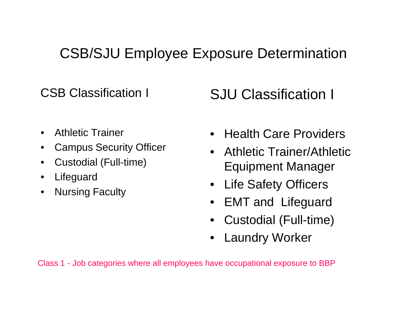## CSB/SJU Employee Exposure Determination

CSB Classification I

SJU Classification I

- •Athletic Trainer
- $\bullet$ Campus Security Officer
- $\bullet$ • Custodial (Full-time)
- $\bullet$ Lifeguard
- $\bullet$ Nursing Faculty
- Health Care Providers
- Athletic Trainer/Athletic Equipment Manager
- $\bullet$ Life Safety Officers
- •EMT and Lifeguard
- Custodial (Full-time)
- •Laundry Worker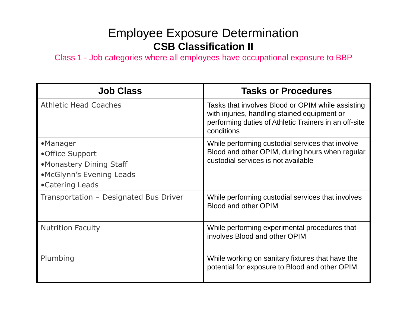## Employee Exposure Determination**CSB Classification II**

Class 1 - Job categories where all employees have occupational exposure to BBP

| <b>Job Class</b>                                                                                      | <b>Tasks or Procedures</b>                                                                                                                                               |
|-------------------------------------------------------------------------------------------------------|--------------------------------------------------------------------------------------------------------------------------------------------------------------------------|
| <b>Athletic Head Coaches</b>                                                                          | Tasks that involves Blood or OPIM while assisting<br>with injuries, handling stained equipment or<br>performing duties of Athletic Trainers in an off-site<br>conditions |
| •Manager<br>•Office Support<br>•Monastery Dining Staff<br>•McGlynn's Evening Leads<br>•Catering Leads | While performing custodial services that involve<br>Blood and other OPIM, during hours when regular<br>custodial services is not available                               |
| Transportation - Designated Bus Driver                                                                | While performing custodial services that involves<br><b>Blood and other OPIM</b>                                                                                         |
| <b>Nutrition Faculty</b>                                                                              | While performing experimental procedures that<br>involves Blood and other OPIM                                                                                           |
| Plumbing                                                                                              | While working on sanitary fixtures that have the<br>potential for exposure to Blood and other OPIM.                                                                      |